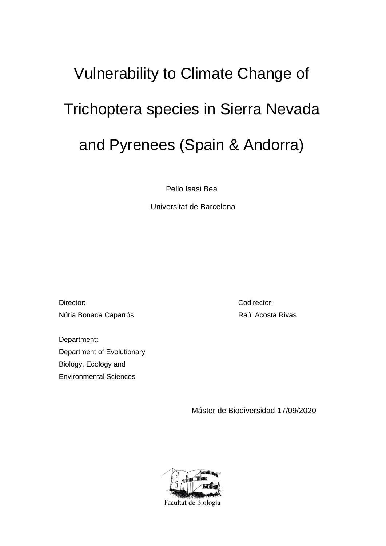# Vulnerability to Climate Change of Trichoptera species in Sierra Nevada and Pyrenees (Spain & Andorra)

Pello Isasi Bea

Universitat de Barcelona

Director: Núria Bonada Caparrós

Department: Department of Evolutionary Biology, Ecology and Environmental Sciences

Codirector: Raúl Acosta Rivas

Máster de Biodiversidad 17/09/2020

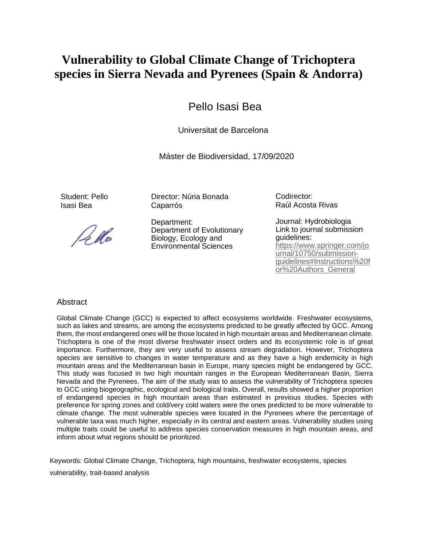# **Vulnerability to Global Climate Change of Trichoptera species in Sierra Nevada and Pyrenees (Spain & Andorra)**

# Pello Isasi Bea

Universitat de Barcelona

Máster de Biodiversidad, 17/09/2020

Student: Pello Isasi Bea

Pedo

Director: Núria Bonada Caparrós

Department: Department of Evolutionary Biology, Ecology and Environmental Sciences

Codirector: Raúl Acosta Rivas

Journal: Hydrobiologia Link to journal submission guidelines: [https://www.springer.com/jo](https://www.springer.com/journal/10750/submission-guidelines#Instructions%20for%20Authors_General) [urnal/10750/submission](https://www.springer.com/journal/10750/submission-guidelines#Instructions%20for%20Authors_General)[guidelines#Instructions%20f](https://www.springer.com/journal/10750/submission-guidelines#Instructions%20for%20Authors_General) [or%20Authors\\_General](https://www.springer.com/journal/10750/submission-guidelines#Instructions%20for%20Authors_General)

# **Abstract**

Global Climate Change (GCC) is expected to affect ecosystems worldwide. Freshwater ecosystems, such as lakes and streams, are among the ecosystems predicted to be greatly affected by GCC. Among them, the most endangered ones will be those located in high mountain areas and Mediterranean climate. Trichoptera is one of the most diverse freshwater insect orders and its ecosystemic role is of great importance. Furthermore, they are very useful to assess stream degradation. However, Trichoptera species are sensitive to changes in water temperature and as they have a high endemicity in high mountain areas and the Mediterranean basin in Europe, many species might be endangered by GCC. This study was focused in two high mountain ranges in the European Mediterranean Basin, Sierra Nevada and the Pyrenees. The aim of the study was to assess the vulnerability of Trichoptera species to GCC using biogeographic, ecological and biological traits. Overall, results showed a higher proportion of endangered species in high mountain areas than estimated in previous studies. Species with preference for spring zones and cold/very cold waters were the ones predicted to be more vulnerable to climate change. The most vulnerable species were located in the Pyrenees where the percentage of vulnerable taxa was much higher, especially in its central and eastern areas. Vulnerability studies using multiple traits could be useful to address species conservation measures in high mountain areas, and inform about what regions should be prioritized.

Keywords: Global Climate Change, Trichoptera, high mountains, freshwater ecosystems, species vulnerability, trait-based analysis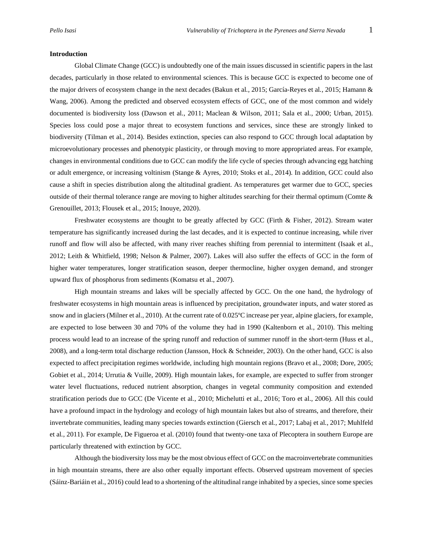#### **Introduction**

Global Climate Change (GCC) is undoubtedly one of the main issues discussed in scientific papers in the last decades, particularly in those related to environmental sciences. This is because GCC is expected to become one of the major drivers of ecosystem change in the next decades (Bakun et al*.,* 2015; García-Reyes et al*.*, 2015; Hamann & Wang, 2006). Among the predicted and observed ecosystem effects of GCC, one of the most common and widely documented is biodiversity loss (Dawson et al*.*, 2011; Maclean & Wilson, 2011; Sala et al*.*, 2000; Urban, 2015). Species loss could pose a major threat to ecosystem functions and services, since these are strongly linked to biodiversity (Tilman et al*.*, 2014). Besides extinction, species can also respond to GCC through local adaptation by microevolutionary processes and phenotypic plasticity, or through moving to more appropriated areas. For example, changes in environmental conditions due to GCC can modify the life cycle of species through advancing egg hatching or adult emergence, or increasing voltinism (Stange & Ayres, 2010; Stoks et al*.*, 2014). In addition, GCC could also cause a shift in species distribution along the altitudinal gradient. As temperatures get warmer due to GCC, species outside of their thermal tolerance range are moving to higher altitudes searching for their thermal optimum (Comte  $\&$ Grenouillet, 2013; Flousek et al., 2015; Inouye, 2020).

Freshwater ecosystems are thought to be greatly affected by GCC (Firth & Fisher, 2012). Stream water temperature has significantly increased during the last decades, and it is expected to continue increasing, while river runoff and flow will also be affected, with many river reaches shifting from perennial to intermittent (Isaak et al*.*, 2012; Leith & Whitfield, 1998; Nelson & Palmer, 2007). Lakes will also suffer the effects of GCC in the form of higher water temperatures, longer stratification season, deeper thermocline, higher oxygen demand, and stronger upward flux of phosphorus from sediments (Komatsu et al., 2007).

High mountain streams and lakes will be specially affected by GCC. On the one hand, the hydrology of freshwater ecosystems in high mountain areas is influenced by precipitation, groundwater inputs, and water stored as snow and in glaciers (Milner et al., 2010). At the current rate of 0.025ºC increase per year, alpine glaciers, for example, are expected to lose between 30 and 70% of the volume they had in 1990 (Kaltenborn et al*.*, 2010). This melting process would lead to an increase of the spring runoff and reduction of summer runoff in the short-term (Huss et al*.*, 2008), and a long-term total discharge reduction (Jansson, Hock & Schneider, 2003). On the other hand, GCC is also expected to affect precipitation regimes worldwide, including high mountain regions (Bravo et al*.*, 2008; Dore, 2005; Gobiet et al., 2014; Urrutia & Vuille, 2009). High mountain lakes, for example, are expected to suffer from stronger water level fluctuations, reduced nutrient absorption, changes in vegetal community composition and extended stratification periods due to GCC (De Vicente et al*.*, 2010; Michelutti et al*.*, 2016; Toro et al., 2006). All this could have a profound impact in the hydrology and ecology of high mountain lakes but also of streams, and therefore, their invertebrate communities, leading many species towards extinction (Giersch et al*.,* 2017; Labaj et al*.*, 2017; Muhlfeld et al*.*, 2011). For example, De Figueroa et al. (2010) found that twenty-one taxa of Plecoptera in southern Europe are particularly threatened with extinction by GCC.

Although the biodiversity loss may be the most obvious effect of GCC on the macroinvertebrate communities in high mountain streams, there are also other equally important effects. Observed upstream movement of species (Sáinz-Bariáin et al., 2016) could lead to a shortening of the altitudinal range inhabited by a species, since some species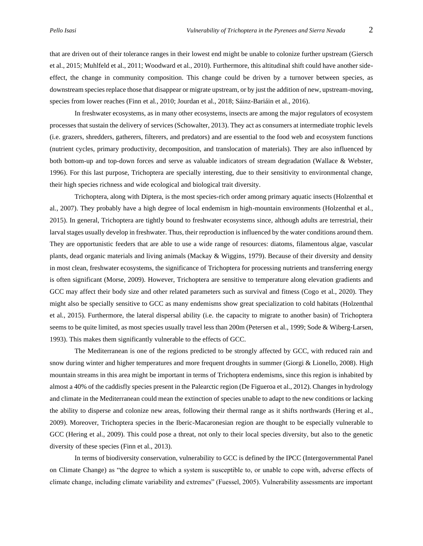that are driven out of their tolerance ranges in their lowest end might be unable to colonize further upstream (Giersch et al., 2015; Muhlfeld et al., 2011; Woodward et al*.*, 2010). Furthermore, this altitudinal shift could have another sideeffect, the change in community composition. This change could be driven by a turnover between species, as downstream species replace those that disappear or migrate upstream, or by just the addition of new, upstream-moving, species from lower reaches (Finn et al*.*, 2010; Jourdan et al., 2018; Sáinz-Bariáin et al., 2016).

In freshwater ecosystems, as in many other ecosystems, insects are among the major regulators of ecosystem processes that sustain the delivery of services (Schowalter, 2013). They act as consumers at intermediate trophic levels (i.e. grazers, shredders, gatherers, filterers, and predators) and are essential to the food web and ecosystem functions (nutrient cycles, primary productivity, decomposition, and translocation of materials). They are also influenced by both bottom-up and top-down forces and serve as valuable indicators of stream degradation (Wallace & Webster, 1996). For this last purpose, Trichoptera are specially interesting, due to their sensitivity to environmental change, their high species richness and wide ecological and biological trait diversity.

Trichoptera, along with Diptera, is the most species-rich order among primary aquatic insects (Holzenthal et al*.*, 2007). They probably have a high degree of local endemism in high-mountain environments (Holzenthal et al*.*, 2015). In general, Trichoptera are tightly bound to freshwater ecosystems since, although adults are terrestrial, their larval stages usually develop in freshwater. Thus, their reproduction is influenced by the water conditions around them. They are opportunistic feeders that are able to use a wide range of resources: diatoms, filamentous algae, vascular plants, dead organic materials and living animals (Mackay & Wiggins, 1979). Because of their diversity and density in most clean, freshwater ecosystems, the significance of Trichoptera for processing nutrients and transferring energy is often significant (Morse, 2009). However, Trichoptera are sensitive to temperature along elevation gradients and GCC may affect their body size and other related parameters such as survival and fitness (Cogo et al*.*, 2020). They might also be specially sensitive to GCC as many endemisms show great specialization to cold habitats (Holzenthal et al*.*, 2015). Furthermore, the lateral dispersal ability (i.e. the capacity to migrate to another basin) of Trichoptera seems to be quite limited, as most species usually travel less than 200m (Petersen et al., 1999; Sode & Wiberg-Larsen, 1993). This makes them significantly vulnerable to the effects of GCC.

The Mediterranean is one of the regions predicted to be strongly affected by GCC, with reduced rain and snow during winter and higher temperatures and more frequent droughts in summer (Giorgi & Lionello, 2008). High mountain streams in this area might be important in terms of Trichoptera endemisms, since this region is inhabited by almost a 40% of the caddisfly species present in the Palearctic region (De Figueroa et al., 2012). Changes in hydrology and climate in the Mediterranean could mean the extinction of species unable to adapt to the new conditions or lacking the ability to disperse and colonize new areas, following their thermal range as it shifts northwards (Hering et al., 2009). Moreover, Trichoptera species in the Iberic-Macaronesian region are thought to be especially vulnerable to GCC (Hering et al., 2009). This could pose a threat, not only to their local species diversity, but also to the genetic diversity of these species (Finn et al., 2013).

In terms of biodiversity conservation, vulnerability to GCC is defined by the IPCC (Intergovernmental Panel on Climate Change) as "the degree to which a system is susceptible to, or unable to cope with, adverse effects of climate change, including climate variability and extremes" (Fuessel, 2005). Vulnerability assessments are important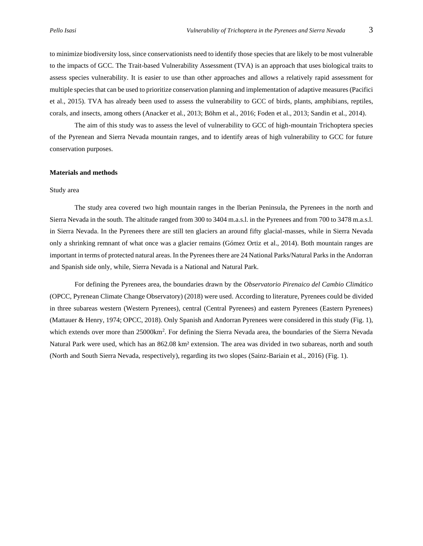to minimize biodiversity loss, since conservationists need to identify those species that are likely to be most vulnerable to the impacts of GCC. The Trait-based Vulnerability Assessment (TVA) is an approach that uses biological traits to assess species vulnerability. It is easier to use than other approaches and allows a relatively rapid assessment for multiple species that can be used to prioritize conservation planning and implementation of adaptive measures (Pacifici et al., 2015). TVA has already been used to assess the vulnerability to GCC of birds, plants, amphibians, reptiles, corals, and insects, among others (Anacker et al*.*, 2013; Böhm et al., 2016; Foden et al., 2013; Sandin et al*.*, 2014).

The aim of this study was to assess the level of vulnerability to GCC of high-mountain Trichoptera species of the Pyrenean and Sierra Nevada mountain ranges, and to identify areas of high vulnerability to GCC for future conservation purposes.

#### **Materials and methods**

## Study area

The study area covered two high mountain ranges in the Iberian Peninsula, the Pyrenees in the north and Sierra Nevada in the south. The altitude ranged from 300 to 3404 m.a.s.l. in the Pyrenees and from 700 to 3478 m.a.s.l. in Sierra Nevada. In the Pyrenees there are still ten glaciers an around fifty glacial-masses, while in Sierra Nevada only a shrinking remnant of what once was a glacier remains (Gómez Ortiz et al., 2014). Both mountain ranges are important in terms of protected natural areas. In the Pyrenees there are 24 National Parks/Natural Parks in the Andorran and Spanish side only, while, Sierra Nevada is a National and Natural Park.

For defining the Pyrenees area, the boundaries drawn by the *Observatorio Pirenaico del Cambio Climático* (OPCC, Pyrenean Climate Change Observatory) (2018) were used. According to literature, Pyrenees could be divided in three subareas western (Western Pyrenees), central (Central Pyrenees) and eastern Pyrenees (Eastern Pyrenees) (Mattauer & Henry, 1974; OPCC, 2018). Only Spanish and Andorran Pyrenees were considered in this study (Fig. 1), which extends over more than 25000km<sup>2</sup>. For defining the Sierra Nevada area, the boundaries of the Sierra Nevada Natural Park were used, which has an 862.08 km² extension. The area was divided in two subareas, north and south (North and South Sierra Nevada, respectively), regarding its two slopes (Sainz-Bariain et al., 2016) (Fig. 1).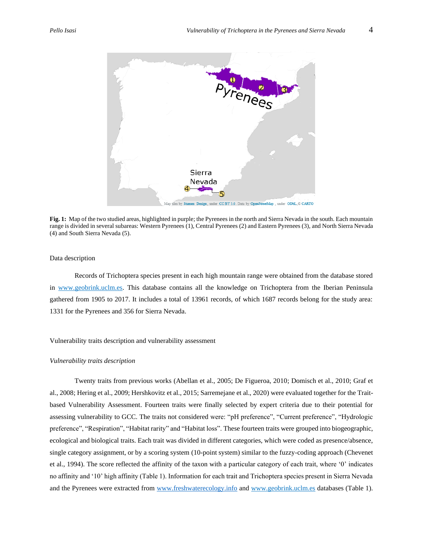

**Fig. 1:** Map of the two studied areas, highlighted in purple; the Pyrenees in the north and Sierra Nevada in the south. Each mountain range is divided in several subareas: Western Pyrenees (1), Central Pyrenees (2) and Eastern Pyrenees (3), and North Sierra Nevada (4) and South Sierra Nevada (5).

# Data description

Records of Trichoptera species present in each high mountain range were obtained from the database stored in [www.geobrink.uclm.es.](http://www.geobrink.uclm.es/) This database contains all the knowledge on Trichoptera from the Iberian Peninsula gathered from 1905 to 2017. It includes a total of 13961 records, of which 1687 records belong for the study area: 1331 for the Pyrenees and 356 for Sierra Nevada.

# Vulnerability traits description and vulnerability assessment

#### *Vulnerability traits description*

Twenty traits from previous works (Abellan et al., 2005; De Figueroa, 2010; Domisch et al., 2010; Graf et al., 2008; Hering et al., 2009; Hershkovitz et al., 2015; Sarremejane et al., 2020) were evaluated together for the Traitbased Vulnerability Assessment. Fourteen traits were finally selected by expert criteria due to their potential for assessing vulnerability to GCC. The traits not considered were: "pH preference", "Current preference", "Hydrologic preference", "Respiration", "Habitat rarity" and "Habitat loss". These fourteen traits were grouped into biogeographic, ecological and biological traits. Each trait was divided in different categories, which were coded as presence/absence, single category assignment, or by a scoring system (10-point system) similar to the fuzzy-coding approach (Chevenet et al., 1994). The score reflected the affinity of the taxon with a particular category of each trait, where '0' indicates no affinity and '10' high affinity (Table 1). Information for each trait and Trichoptera species present in Sierra Nevada and the Pyrenees were extracted from [www.freshwaterecology.info](http://www.freshwaterecology.info/) and [www.geobrink.uclm.es](http://www.geobrink.uclm.es/) databases (Table 1).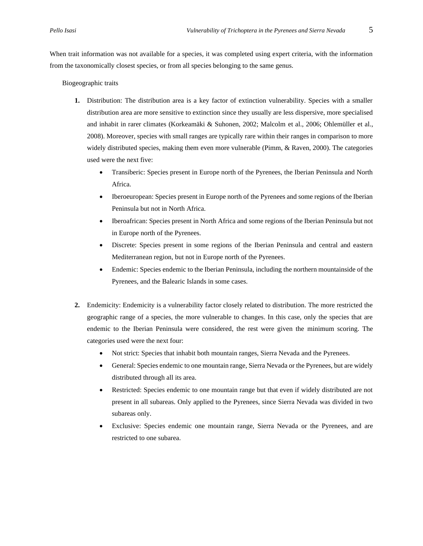When trait information was not available for a species, it was completed using expert criteria, with the information from the taxonomically closest species, or from all species belonging to the same genus.

Biogeographic traits

- **1.** Distribution: The distribution area is a key factor of extinction vulnerability. Species with a smaller distribution area are more sensitive to extinction since they usually are less dispersive, more specialised and inhabit in rarer climates (Korkeamäki & Suhonen, 2002; Malcolm et al., 2006; Ohlemüller et al., 2008). Moreover, species with small ranges are typically rare within their ranges in comparison to more widely distributed species, making them even more vulnerable (Pimm, & Raven, 2000). The categories used were the next five:
	- Transiberic: Species present in Europe north of the Pyrenees, the Iberian Peninsula and North Africa.
	- Iberoeuropean: Species present in Europe north of the Pyrenees and some regions of the Iberian Peninsula but not in North Africa.
	- Iberoafrican: Species present in North Africa and some regions of the Iberian Peninsula but not in Europe north of the Pyrenees.
	- Discrete: Species present in some regions of the Iberian Peninsula and central and eastern Mediterranean region, but not in Europe north of the Pyrenees.
	- Endemic: Species endemic to the Iberian Peninsula, including the northern mountainside of the Pyrenees, and the Balearic Islands in some cases.
- **2.** Endemicity: Endemicity is a vulnerability factor closely related to distribution. The more restricted the geographic range of a species, the more vulnerable to changes. In this case, only the species that are endemic to the Iberian Peninsula were considered, the rest were given the minimum scoring. The categories used were the next four:
	- Not strict: Species that inhabit both mountain ranges, Sierra Nevada and the Pyrenees.
	- General: Species endemic to one mountain range, Sierra Nevada or the Pyrenees, but are widely distributed through all its area.
	- Restricted: Species endemic to one mountain range but that even if widely distributed are not present in all subareas. Only applied to the Pyrenees, since Sierra Nevada was divided in two subareas only.
	- Exclusive: Species endemic one mountain range, Sierra Nevada or the Pyrenees, and are restricted to one subarea.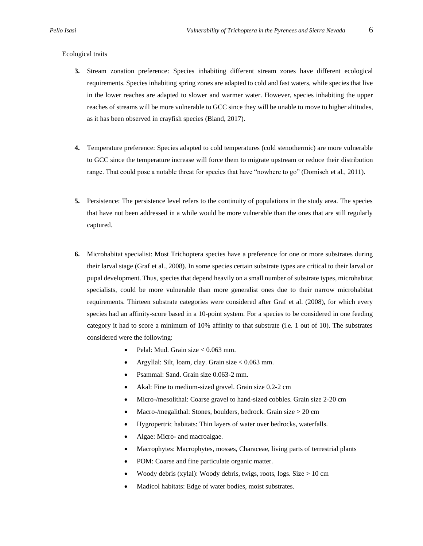## Ecological traits

- **3.** Stream zonation preference: Species inhabiting different stream zones have different ecological requirements. Species inhabiting spring zones are adapted to cold and fast waters, while species that live in the lower reaches are adapted to slower and warmer water. However, species inhabiting the upper reaches of streams will be more vulnerable to GCC since they will be unable to move to higher altitudes, as it has been observed in crayfish species (Bland, 2017).
- **4.** Temperature preference: Species adapted to cold temperatures (cold stenothermic) are more vulnerable to GCC since the temperature increase will force them to migrate upstream or reduce their distribution range. That could pose a notable threat for species that have "nowhere to go" (Domisch et al*.*, 2011).
- **5.** Persistence: The persistence level refers to the continuity of populations in the study area. The species that have not been addressed in a while would be more vulnerable than the ones that are still regularly captured.
- **6.** Microhabitat specialist: Most Trichoptera species have a preference for one or more substrates during their larval stage (Graf et al*.*, 2008)*.* In some species certain substrate types are critical to their larval or pupal development. Thus, species that depend heavily on a small number of substrate types, microhabitat specialists, could be more vulnerable than more generalist ones due to their narrow microhabitat requirements. Thirteen substrate categories were considered after Graf et al. (2008), for which every species had an affinity-score based in a 10-point system. For a species to be considered in one feeding category it had to score a minimum of 10% affinity to that substrate (i.e. 1 out of 10). The substrates considered were the following:
	- Pelal: Mud. Grain size < 0.063 mm.
	- Argyllal: Silt, loam, clay. Grain size < 0.063 mm.
	- Psammal: Sand. Grain size 0.063-2 mm.
	- Akal: Fine to medium-sized gravel. Grain size 0.2-2 cm
	- Micro-/mesolithal: Coarse gravel to hand-sized cobbles. Grain size 2-20 cm
	- Macro-/megalithal: Stones, boulders, bedrock. Grain size > 20 cm
	- Hygropertric habitats: Thin layers of water over bedrocks, waterfalls.
	- Algae: Micro- and macroalgae.
	- Macrophytes: Macrophytes, mosses, Characeae, living parts of terrestrial plants
	- POM: Coarse and fine particulate organic matter.
	- Woody debris (xylal): Woody debris, twigs, roots, logs. Size > 10 cm
	- Madicol habitats: Edge of water bodies, moist substrates.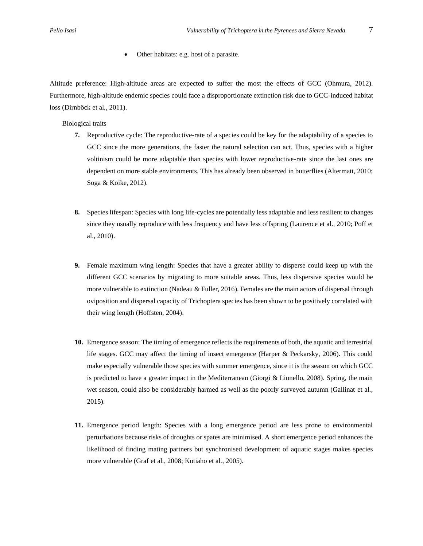• Other habitats: e.g. host of a parasite.

Altitude preference: High-altitude areas are expected to suffer the most the effects of GCC (Ohmura, 2012). Furthermore, high-altitude endemic species could face a disproportionate extinction risk due to GCC-induced habitat loss (Dirnböck et al*.*, 2011).

Biological traits

- **7.** Reproductive cycle: The reproductive-rate of a species could be key for the adaptability of a species to GCC since the more generations, the faster the natural selection can act. Thus, species with a higher voltinism could be more adaptable than species with lower reproductive-rate since the last ones are dependent on more stable environments. This has already been observed in butterflies (Altermatt, 2010; Soga & Koike, 2012).
- **8.** Species lifespan: Species with long life-cycles are potentially less adaptable and less resilient to changes since they usually reproduce with less frequency and have less offspring (Laurence et al., 2010; Poff et al., 2010).
- **9.** Female maximum wing length: Species that have a greater ability to disperse could keep up with the different GCC scenarios by migrating to more suitable areas. Thus, less dispersive species would be more vulnerable to extinction (Nadeau & Fuller, 2016). Females are the main actors of dispersal through oviposition and dispersal capacity of Trichoptera species has been shown to be positively correlated with their wing length (Hoffsten, 2004).
- **10.** Emergence season: The timing of emergence reflects the requirements of both, the aquatic and terrestrial life stages. GCC may affect the timing of insect emergence (Harper & Peckarsky, 2006). This could make especially vulnerable those species with summer emergence, since it is the season on which GCC is predicted to have a greater impact in the Mediterranean (Giorgi & Lionello, 2008). Spring, the main wet season, could also be considerably harmed as well as the poorly surveyed autumn (Gallinat et al*.*, 2015).
- **11.** Emergence period length: Species with a long emergence period are less prone to environmental perturbations because risks of droughts or spates are minimised. A short emergence period enhances the likelihood of finding mating partners but synchronised development of aquatic stages makes species more vulnerable (Graf et al*.*, 2008; Kotiaho et al*.*, 2005).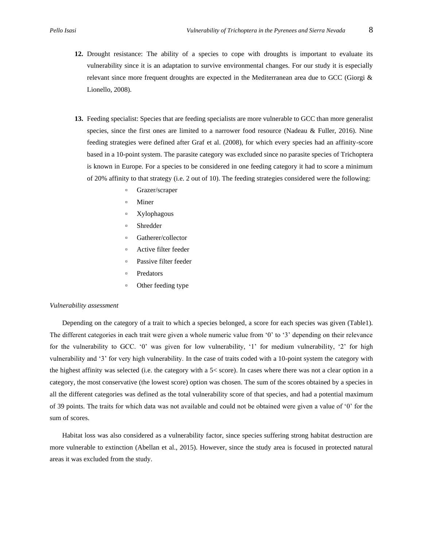- **12.** Drought resistance: The ability of a species to cope with droughts is important to evaluate its vulnerability since it is an adaptation to survive environmental changes. For our study it is especially relevant since more frequent droughts are expected in the Mediterranean area due to GCC (Giorgi & Lionello, 2008).
- **13.** Feeding specialist: Species that are feeding specialists are more vulnerable to GCC than more generalist species, since the first ones are limited to a narrower food resource (Nadeau & Fuller, 2016). Nine feeding strategies were defined after Graf et al. (2008), for which every species had an affinity-score based in a 10-point system. The parasite category was excluded since no parasite species of Trichoptera is known in Europe. For a species to be considered in one feeding category it had to score a minimum of 20% affinity to that strategy (i.e. 2 out of 10). The feeding strategies considered were the following:
	- Grazer/scraper
	- Miner
	- Xylophagous
	- Shredder
	- Gatherer/collector
	- Active filter feeder
	- Passive filter feeder
	- Predators
	- Other feeding type

#### *Vulnerability assessment*

Depending on the category of a trait to which a species belonged, a score for each species was given (Table1). The different categories in each trait were given a whole numeric value from '0' to '3' depending on their relevance for the vulnerability to GCC. '0' was given for low vulnerability, '1' for medium vulnerability, '2' for high vulnerability and '3' for very high vulnerability. In the case of traits coded with a 10-point system the category with the highest affinity was selected (i.e. the category with a 5< score). In cases where there was not a clear option in a category, the most conservative (the lowest score) option was chosen. The sum of the scores obtained by a species in all the different categories was defined as the total vulnerability score of that species, and had a potential maximum of 39 points. The traits for which data was not available and could not be obtained were given a value of '0' for the sum of scores.

Habitat loss was also considered as a vulnerability factor, since species suffering strong habitat destruction are more vulnerable to extinction (Abellan et al., 2015). However, since the study area is focused in protected natural areas it was excluded from the study.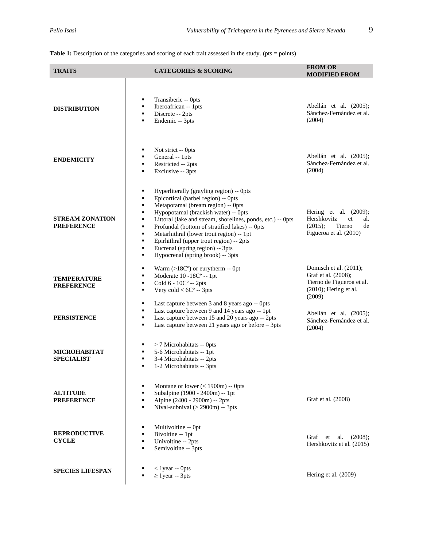Table 1: Description of the categories and scoring of each trait assessed in the study. (pts = points)

| <b>TRAITS</b>                               |                                                             | <b>CATEGORIES &amp; SCORING</b>                                                                                                                                                                                                                                                                                                                                                                                                                 | <b>FROM OR</b><br><b>MODIFIED FROM</b>                                                                           |
|---------------------------------------------|-------------------------------------------------------------|-------------------------------------------------------------------------------------------------------------------------------------------------------------------------------------------------------------------------------------------------------------------------------------------------------------------------------------------------------------------------------------------------------------------------------------------------|------------------------------------------------------------------------------------------------------------------|
| <b>DISTRIBUTION</b>                         | ٠<br>٠<br>٠<br>٠                                            | Transiberic -- Opts<br>Iberoafrican -- 1pts<br>Discrete -- 2pts<br>Endemic -- 3pts                                                                                                                                                                                                                                                                                                                                                              | Abellán et al. (2005);<br>Sánchez-Fernández et al.<br>(2004)                                                     |
| <b>ENDEMICITY</b>                           | ٠<br>٠<br>٠<br>٠                                            | Not strict -- 0pts<br>General -- 1pts<br>Restricted -- 2pts<br>Exclusive -- 3pts                                                                                                                                                                                                                                                                                                                                                                | Abellán et al. (2005);<br>Sánchez-Fernández et al.<br>(2004)                                                     |
| <b>STREAM ZONATION</b><br><b>PREFERENCE</b> | ٠<br>٠<br>٠<br>٠<br>٠<br>٠<br>$\blacksquare$<br>٠<br>٠<br>٠ | Hyperliterally (grayling region) -- 0pts<br>Epicortical (barbel region) -- Opts<br>Metapotamal (bream region) -- 0pts<br>Hypopotamal (brackish water) -- 0pts<br>Littoral (lake and stream, shorelines, ponds, etc.) -- 0pts<br>Profundal (bottom of stratified lakes) -- Opts<br>Metarhithral (lower trout region) -- 1pt<br>Epirhithral (upper trout region) -- 2pts<br>Eucrenal (spring region) -- 3pts<br>Hypocrenal (spring brook) -- 3pts | Hering et al. $(2009)$ ;<br>Hershkovitz<br>et<br>al.<br>(2015);<br>Tierno<br>de<br>Figueroa et al. (2010)        |
| <b>TEMPERATURE</b><br><b>PREFERENCE</b>     | ٠<br>٠<br>٠<br>٠                                            | Warm $(>18C^{\circ})$ or eurytherm -- 0pt<br>Moderate 10 -18C° -- 1pt<br>Cold 6 - 10C° -- 2pts<br>Very cold $<$ 6C $\degree$ -- 3pts                                                                                                                                                                                                                                                                                                            | Domisch et al. (2011);<br>Graf et al. (2008);<br>Tierno de Figueroa et al.<br>$(2010)$ ; Hering et al.<br>(2009) |
| <b>PERSISTENCE</b>                          | ٠<br>٠<br>٠<br>٠                                            | Last capture between 3 and 8 years ago -- 0pts<br>Last capture between 9 and 14 years ago -- 1pt<br>Last capture between 15 and 20 years ago -- 2pts<br>Last capture between 21 years ago or before - 3pts                                                                                                                                                                                                                                      | Abellán et al. (2005);<br>Sánchez-Fernández et al.<br>(2004)                                                     |
| <b>MICROHABITAT</b><br><b>SPECIALIST</b>    | ٠<br>٠<br>٠<br>٠                                            | > 7 Microhabitats -- 0pts<br>5-6 Microhabitats -- 1pt<br>3-4 Microhabitats -- 2pts<br>1-2 Microhabitats -- 3pts                                                                                                                                                                                                                                                                                                                                 |                                                                                                                  |
| <b>ALTITUDE</b><br><b>PREFERENCE</b>        | ٠<br>٠<br>٠<br>٠                                            | Montane or lower $(< 1900m)$ -- 0pts<br>Subalpine (1900 - 2400m) -- 1pt<br>Alpine (2400 - 2900m) -- 2pts<br>Nival-subnival $(> 2900m)$ -- 3pts                                                                                                                                                                                                                                                                                                  | Graf et al. (2008)                                                                                               |
| <b>REPRODUCTIVE</b><br><b>CYCLE</b>         | ٠<br>٠<br>٠<br>٠                                            | Multivoltine -- 0pt<br>Bivoltine -- 1pt<br>Univoltine -- 2pts<br>Semivoltine -- 3pts                                                                                                                                                                                                                                                                                                                                                            | Graf et al.<br>(2008);<br>Hershkovitz et al. (2015)                                                              |
| <b>SPECIES LIFESPAN</b>                     |                                                             | $<$ 1 year -- 0 pts<br>$\geq$ 1 year -- 3 pts                                                                                                                                                                                                                                                                                                                                                                                                   | Hering et al. (2009)                                                                                             |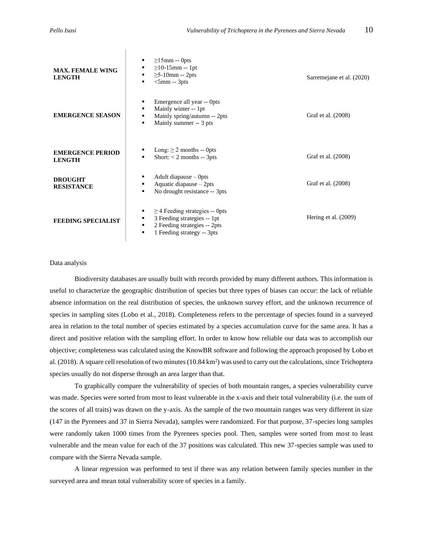| <b>MAX. FEMALE WING</b><br><b>LENGTH</b> | $\geq$ 15mm -- Opts<br>٠<br>$\geq$ 10-15mm -- 1pt<br>٠<br>$\geq$ 5-10mm -- 2pts<br>٠<br>$<$ 5mm -- 3pts<br>٠                                    | Sarremejane et al. (2020) |  |  |  |
|------------------------------------------|-------------------------------------------------------------------------------------------------------------------------------------------------|---------------------------|--|--|--|
| <b>EMERGENCE SEASON</b>                  | Emergence all year -- Opts<br>٠<br>Mainly winter -- 1pt<br>٠<br>Mainly spring/autumn -- 2pts<br>٠<br>Mainly summer -- 3 pts<br>$\blacksquare$   | Graf et al. (2008)        |  |  |  |
| <b>EMERGENCE PERIOD</b><br><b>LENGTH</b> | Long: $\geq 2$ months -- 0pts<br>Short: $<$ 2 months -- 3pts<br>٠                                                                               | Graf et al. (2008)        |  |  |  |
| <b>DROUGHT</b><br><b>RESISTANCE</b>      | Adult diapause $-$ 0pts<br>Aquatic diapause - 2pts<br>٠<br>No drought resistance -- 3pts<br>$\blacksquare$                                      | Graf et al. (2008)        |  |  |  |
| <b>FEEDING SPECIALIST</b>                | $\geq$ 4 Feeding strategies -- 0pts<br>3 Feeding strategies -- 1pt<br>٠<br>2 Feeding strategies -- 2pts<br>٠<br>1 Feeding strategy -- 3pts<br>٠ | Hering et al. (2009)      |  |  |  |

# Data analysis

Biodiversity databases are usually built with records provided by many different authors. This information is useful to characterize the geographic distribution of species but three types of biases can occur: the lack of reliable absence information on the real distribution of species, the unknown survey effort, and the unknown recurrence of species in sampling sites (Lobo et al*.*, 2018). Completeness refers to the percentage of species found in a surveyed area in relation to the total number of species estimated by a species accumulation curve for the same area. It has a direct and positive relation with the sampling effort. In order to know how reliable our data was to accomplish our objective; completeness was calculated using the KnowBR software and following the approach proposed by Lobo et al. (2018). A square cell resolution of two minutes (10.84 km<sup>2</sup>) was used to carry out the calculations, since Trichoptera species usually do not disperse through an area larger than that.

To graphically compare the vulnerability of species of both mountain ranges, a species vulnerability curve was made. Species were sorted from most to least vulnerable in the x-axis and their total vulnerability (i.e. the sum of the scores of all traits) was drawn on the y-axis. As the sample of the two mountain ranges was very different in size (147 in the Pyrenees and 37 in Sierra Nevada), samples were randomized. For that purpose, 37-species long samples were randomly taken 1000 times from the Pyrenees species pool. Then, samples were sorted from most to least vulnerable and the mean value for each of the 37 positions was calculated. This new 37-species sample was used to compare with the Sierra Nevada sample.

A linear regression was performed to test if there was any relation between family species number in the surveyed area and mean total vulnerability score of species in a family.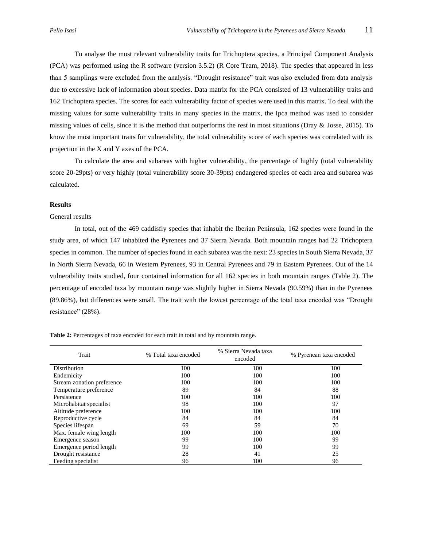To analyse the most relevant vulnerability traits for Trichoptera species, a Principal Component Analysis (PCA) was performed using the R software (version 3.5.2) (R Core Team, 2018). The species that appeared in less than 5 samplings were excluded from the analysis. "Drought resistance" trait was also excluded from data analysis due to excessive lack of information about species. Data matrix for the PCA consisted of 13 vulnerability traits and 162 Trichoptera species. The scores for each vulnerability factor of species were used in this matrix. To deal with the missing values for some vulnerability traits in many species in the matrix, the Ipca method was used to consider missing values of cells, since it is the method that outperforms the rest in most situations (Dray & Josse, 2015). To know the most important traits for vulnerability, the total vulnerability score of each species was correlated with its projection in the X and Y axes of the PCA.

To calculate the area and subareas with higher vulnerability, the percentage of highly (total vulnerability score 20-29pts) or very highly (total vulnerability score 30-39pts) endangered species of each area and subarea was calculated.

# **Results**

# General results

In total, out of the 469 caddisfly species that inhabit the Iberian Peninsula, 162 species were found in the study area, of which 147 inhabited the Pyrenees and 37 Sierra Nevada. Both mountain ranges had 22 Trichoptera species in common. The number of species found in each subarea was the next: 23 species in South Sierra Nevada, 37 in North Sierra Nevada, 66 in Western Pyrenees, 93 in Central Pyrenees and 79 in Eastern Pyrenees. Out of the 14 vulnerability traits studied, four contained information for all 162 species in both mountain ranges (Table 2). The percentage of encoded taxa by mountain range was slightly higher in Sierra Nevada (90.59%) than in the Pyrenees (89.86%), but differences were small. The trait with the lowest percentage of the total taxa encoded was "Drought resistance" (28%).

**Table 2:** Percentages of taxa encoded for each trait in total and by mountain range.

| Trait                      | % Total taxa encoded | % Sierra Nevada taxa<br>encoded | % Pyrenean taxa encoded |  |  |
|----------------------------|----------------------|---------------------------------|-------------------------|--|--|
| <b>Distribution</b>        | 100                  | 100                             | 100                     |  |  |
| Endemicity                 | 100                  | 100                             | 100                     |  |  |
| Stream zonation preference | 100                  | 100                             | 100                     |  |  |
| Temperature preference     | 89                   | 84                              | 88                      |  |  |
| Persistence                | 100                  | 100                             | 100                     |  |  |
| Microhabitat specialist    | 98                   | 100                             | 97                      |  |  |
| Altitude preference        | 100                  | 100                             | 100                     |  |  |
| Reproductive cycle         | 84                   | 84                              | 84                      |  |  |
| Species lifespan           | 69                   | 59                              | 70                      |  |  |
| Max. female wing length    | 100                  | 100                             | 100                     |  |  |
| Emergence season           | 99                   | 100                             | 99                      |  |  |
| Emergence period length    | 99                   | 100                             | 99                      |  |  |
| Drought resistance         | 28                   | 41                              | 25                      |  |  |
| Feeding specialist         | 96                   | 100                             | 96                      |  |  |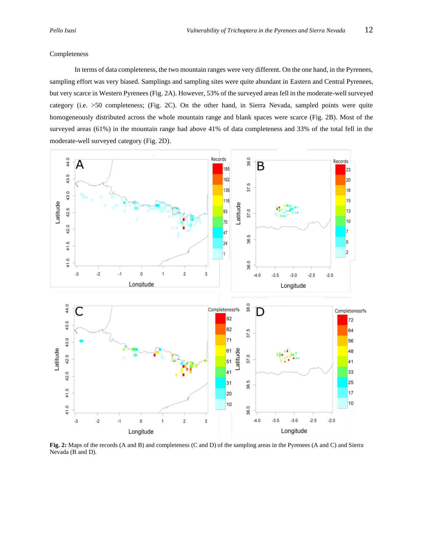### Completeness

In terms of data completeness, the two mountain ranges were very different. On the one hand, in the Pyrenees, sampling effort was very biased. Samplings and sampling sites were quite abundant in Eastern and Central Pyrenees, but very scarce in Western Pyrenees (Fig. 2A). However, 53% of the surveyed areas fell in the moderate-well surveyed category (i.e. >50 completeness; (Fig. 2C). On the other hand, in Sierra Nevada, sampled points were quite homogeneously distributed across the whole mountain range and blank spaces were scarce (Fig. 2B). Most of the surveyed areas (61%) in the mountain range had above 41% of data completeness and 33% of the total fell in the moderate-well surveyed category (Fig. 2D).



**Fig. 2:** Maps of the records (A and B) and completeness (C and D) of the sampling areas in the Pyrenees (A and C) and Sierra Nevada (B and D).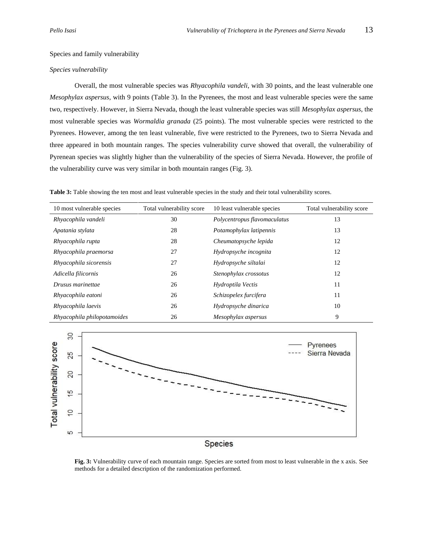Species and family vulnerability

### *Species vulnerability*

Overall, the most vulnerable species was *Rhyacophila vandeli*, with 30 points, and the least vulnerable one *Mesophylax aspersus*, with 9 points (Table 3). In the Pyrenees, the most and least vulnerable species were the same two, respectively. However, in Sierra Nevada, though the least vulnerable species was still *Mesophylax aspersus*, the most vulnerable species was *Wormaldia granada* (25 points). The most vulnerable species were restricted to the Pyrenees. However, among the ten least vulnerable, five were restricted to the Pyrenees, two to Sierra Nevada and three appeared in both mountain ranges. The species vulnerability curve showed that overall, the vulnerability of Pyrenean species was slightly higher than the vulnerability of the species of Sierra Nevada. However, the profile of the vulnerability curve was very similar in both mountain ranges (Fig. 3).

**Table 3:** Table showing the ten most and least vulnerable species in the study and their total vulnerability scores.

| 10 most vulnerable species  | Total vulnerability score | 10 least vulnerable species  | Total vulnerability score |  |  |
|-----------------------------|---------------------------|------------------------------|---------------------------|--|--|
| Rhyacophila vandeli         | 30                        | Polycentropus flavomaculatus | 13                        |  |  |
| Apatania stylata            | 28                        | Potamophylax latipennis      | 13                        |  |  |
| Rhyacophila rupta           | 28                        | Cheumatopsyche lepida        | 12                        |  |  |
| Rhyacophila praemorsa       | 27                        | Hydropsyche incognita        | 12                        |  |  |
| Rhyacophila sicorensis      | 27                        | Hydropsyche siltalai         | 12                        |  |  |
| Adicella filicornis         | 26                        | Stenophylax crossotus        | 12                        |  |  |
| Drusus marinettae           | 26                        | Hydroptila Vectis            | 11                        |  |  |
| Rhyacophila eatoni          | 26                        | Schizopelex furcifera        | 11                        |  |  |
| Rhyacophila laevis          | 26                        | Hydropsyche dinarica         | 10                        |  |  |
| Rhyacophila philopotamoides | 26                        | Mesophylax aspersus          | 9                         |  |  |



**Fig. 3:** Vulnerability curve of each mountain range. Species are sorted from most to least vulnerable in the x axis. See methods for a detailed description of the randomization performed.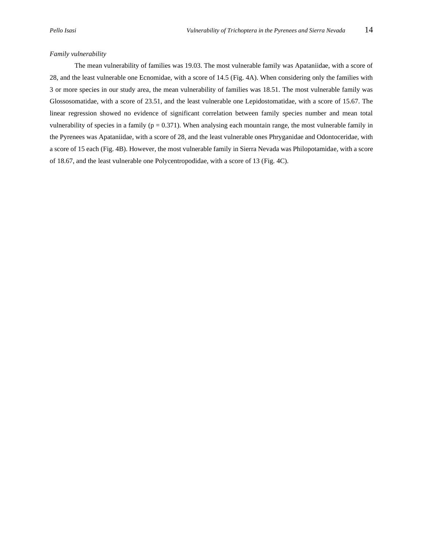# *Family vulnerability*

The mean vulnerability of families was 19.03. The most vulnerable family was Apataniidae, with a score of 28, and the least vulnerable one Ecnomidae, with a score of 14.5 (Fig. 4A). When considering only the families with 3 or more species in our study area, the mean vulnerability of families was 18.51. The most vulnerable family was Glossosomatidae, with a score of 23.51, and the least vulnerable one Lepidostomatidae, with a score of 15.67. The linear regression showed no evidence of significant correlation between family species number and mean total vulnerability of species in a family ( $p = 0.371$ ). When analysing each mountain range, the most vulnerable family in the Pyrenees was Apataniidae, with a score of 28, and the least vulnerable ones Phryganidae and Odontoceridae, with a score of 15 each (Fig. 4B). However, the most vulnerable family in Sierra Nevada was Philopotamidae, with a score of 18.67, and the least vulnerable one Polycentropodidae, with a score of 13 (Fig. 4C).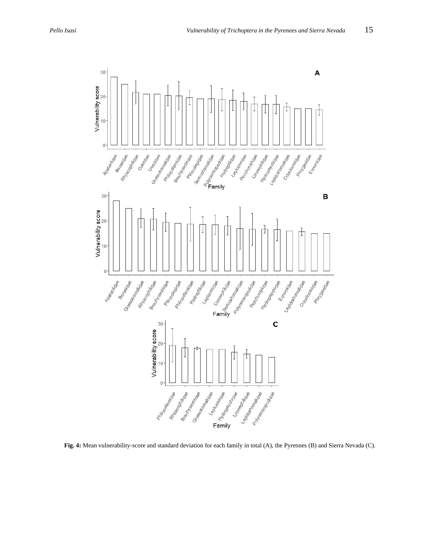

**Fig. 4:** Mean vulnerability-score and standard deviation for each family in total (A), the Pyrennes (B) and Sierra Nevada (C).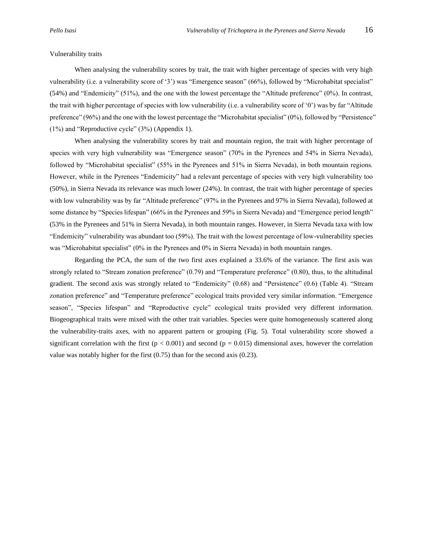#### Vulnerability traits

When analysing the vulnerability scores by trait, the trait with higher percentage of species with very high vulnerability (i.e. a vulnerability score of '3') was "Emergence season" (66%), followed by "Microhabitat specialist" (54%) and "Endemicity" (51%), and the one with the lowest percentage the "Altitude preference" (0%). In contrast, the trait with higher percentage of species with low vulnerability (i.e. a vulnerability score of '0') was by far "Altitude preference" (96%) and the one with the lowest percentage the "Microhabitat specialist" (0%), followed by "Persistence" (1%) and "Reproductive cycle" (3%) (Appendix 1).

When analysing the vulnerability scores by trait and mountain region, the trait with higher percentage of species with very high vulnerability was "Emergence season" (70% in the Pyrenees and 54% in Sierra Nevada), followed by "Microhabitat specialist" (55% in the Pyrenees and 51% in Sierra Nevada), in both mountain regions. However, while in the Pyrenees "Endemicity" had a relevant percentage of species with very high vulnerability too (50%), in Sierra Nevada its relevance was much lower (24%). In contrast, the trait with higher percentage of species with low vulnerability was by far "Altitude preference" (97% in the Pyrenees and 97% in Sierra Nevada), followed at some distance by "Species lifespan" (66% in the Pyrenees and 59% in Sierra Nevada) and "Emergence period length" (53% in the Pyrenees and 51% in Sierra Nevada), in both mountain ranges. However, in Sierra Nevada taxa with low "Endemicity" vulnerability was abundant too (59%). The trait with the lowest percentage of low-vulnerability species was "Microhabitat specialist" (0% in the Pyrenees and 0% in Sierra Nevada) in both mountain ranges.

Regarding the PCA, the sum of the two first axes explained a 33.6% of the variance. The first axis was strongly related to "Stream zonation preference" (0.79) and "Temperature preference" (0.80), thus, to the altitudinal gradient. The second axis was strongly related to "Endemicity" (0.68) and "Persistence" (0.6) (Table 4). "Stream zonation preference" and "Temperature preference" ecological traits provided very similar information. "Emergence season", "Species lifespan" and "Reproductive cycle" ecological traits provided very different information. Biogeographical traits were mixed with the other trait variables. Species were quite homogeneously scattered along the vulnerability-traits axes, with no apparent pattern or grouping (Fig. 5). Total vulnerability score showed a significant correlation with the first ( $p < 0.001$ ) and second ( $p = 0.015$ ) dimensional axes, however the correlation value was notably higher for the first (0.75) than for the second axis (0.23).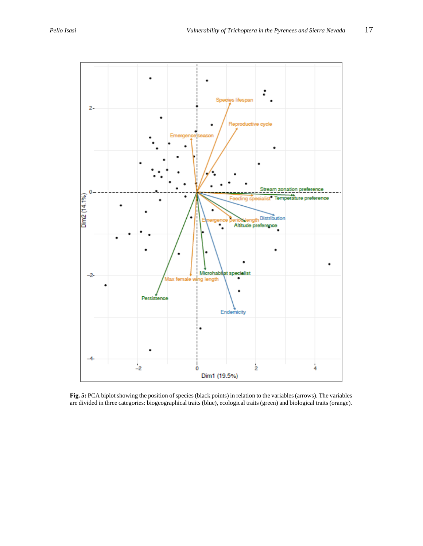

**Fig. 5:** PCA biplot showing the position of species (black points) in relation to the variables (arrows). The variables are divided in three categories: biogeographical traits (blue), ecological traits (green) and biological traits (orange).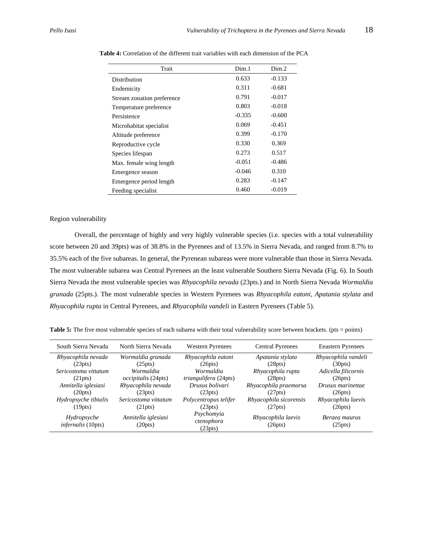| Trait                      | Dim.1    | Dim.2    |
|----------------------------|----------|----------|
| Distribution               | 0.633    | $-0.133$ |
| Endemicity                 | 0.311    | $-0.681$ |
| Stream zonation preference | 0.791    | $-0.017$ |
| Temperature preference     | 0.803    | $-0.018$ |
| Persistence                | $-0.335$ | $-0.600$ |
| Microhabitat specialist    | 0.069    | $-0.451$ |
| Altitude preference        | 0.399    | $-0.170$ |
| Reproductive cycle         | 0.330    | 0.369    |
| Species lifespan           | 0.273    | 0.517    |
| Max. female wing length    | $-0.051$ | $-0.486$ |
| Emergence season           | $-0.046$ | 0.310    |
| Emergence period length    | 0.283    | $-0.147$ |
| Feeding specialist         | 0.460    | $-0.019$ |

**Table 4:** Correlation of the different trait variables with each dimension of the PCA

# Region vulnerability

Overall, the percentage of highly and very highly vulnerable species (i.e. species with a total vulnerability score between 20 and 39pts) was of 38.8% in the Pyrenees and of 13.5% in Sierra Nevada, and ranged from 8.7% to 35.5% each of the five subareas. In general, the Pyrenean subareas were more vulnerable than those in Sierra Nevada. The most vulnerable subarea was Central Pyrenees an the least vulnerable Southern Sierra Nevada (Fig. 6). In South Sierra Nevada the most vulnerable species was *Rhyacophila nevada* (23pts.) and in North Sierra Nevada *Wormaldia granada* (25pts.). The most vulnerable species in Western Pyrenees was *Rhyacophila eatoni*, *Apatania stylata* and *Rhyacophila rupta* in Central Pyrenees, and *Rhyacophila vandeli* in Eastern Pyrenees (Table 5).

| South Sierra Nevada                      | North Sierra Nevada            | <b>Western Pyrenees</b>             | <b>Central Pyrenees</b>       | <b>Eeastern Pyrenees</b> |
|------------------------------------------|--------------------------------|-------------------------------------|-------------------------------|--------------------------|
| Rhyacophila nevada                       | Wormaldia granada              | Rhyacophila eatoni                  | Apatania stylata              | Rhyacophila vandeli      |
| (23pts)                                  | (25pts)                        | (26pts)                             | (28pts)                       | (30pts)                  |
| Sericostoma vittatum                     | Wormaldia                      | Wormaldia                           | Rhyacophila rupta             | Adicella filicornis      |
| (21pts)                                  | <i>occipitalis</i> (24pts)     | <i>triangulifera</i> (24pts)        | (28pts)                       | (26pts)                  |
| Annitella iglesiasi                      | Rhyacophila nevada             | Drusus bolivari                     | Rhyacophila praemorsa         | Drusus marinettae        |
| (20pts)                                  | (23pts)                        | (23pts)                             | (27pts)                       | (26pts)                  |
| Hydropsyche tibialis                     | Sericostoma vittatum           | Polycentropus telifer               | Rhyacophila sicorensis        | Rhyacophila laevis       |
| (19pts)                                  | (21pts)                        | (23pts)                             | (27pts)                       | (26pts)                  |
| Hydropsyche<br><i>infernalis</i> (10pts) | Annitella iglesiasi<br>(20pts) | Psychomyia<br>ctenophora<br>(23pts) | Rhyacophila laevis<br>(26pts) | Beraea maurus<br>(25pts) |

**Table 5:** The five most vulnerable species of each subarea with their total vulnerability score between brackets. (pts = points)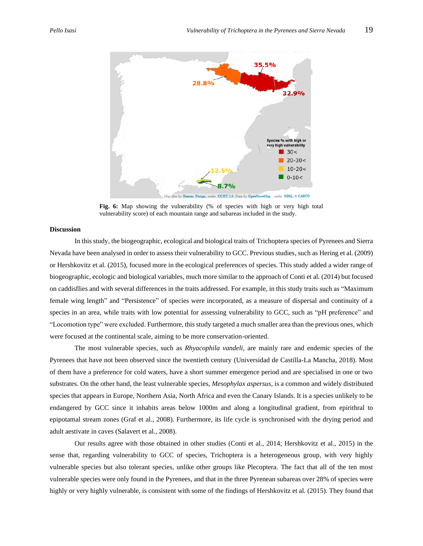

**Fig. 6:** Map showing the vulnerability (% of species with high or very high total vulnerability score) of each mountain range and subareas included in the study.

## **Discussion**

In this study, the biogeographic, ecological and biological traits of Trichoptera species of Pyrenees and Sierra Nevada have been analysed in order to assess their vulnerability to GCC. Previous studies, such as Hering et al*.* (2009) or Hershkovitz et al*.* (2015), focused more in the ecological preferences of species. This study added a wider range of biogeographic, ecologic and biological variables, much more similar to the approach of Conti et al*.* (2014) but focused on caddisflies and with several differences in the traits addressed. For example, in this study traits such as "Maximum female wing length" and "Persistence" of species were incorporated, as a measure of dispersal and continuity of a species in an area, while traits with low potential for assessing vulnerability to GCC, such as "pH preference" and "Locomotion type" were excluded. Furthermore, this study targeted a much smaller area than the previous ones, which were focused at the continental scale, aiming to be more conservation-oriented.

The most vulnerable species, such as *Rhyacophila vandeli*, are mainly rare and endemic species of the Pyrenees that have not been observed since the twentieth century (Universidad de Castilla-La Mancha, 2018). Most of them have a preference for cold waters, have a short summer emergence period and are specialised in one or two substrates. On the other hand, the least vulnerable species, *Mesophylax aspersus*, is a common and widely distributed species that appears in Europe, Northern Asia, North Africa and even the Canary Islands. It is a species unlikely to be endangered by GCC since it inhabits areas below 1000m and along a longitudinal gradient, from epirithral to epipotamal stream zones (Graf et al., 2008). Furthermore, its life cycle is synchronised with the drying period and adult aestivate in caves (Salavert et al*.*, 2008).

Our results agree with those obtained in other studies (Conti et al., 2014; Hershkovitz et al., 2015) in the sense that, regarding vulnerability to GCC of species, Trichoptera is a heterogeneous group, with very highly vulnerable species but also tolerant species, unlike other groups like Plecoptera. The fact that all of the ten most vulnerable species were only found in the Pyrenees, and that in the three Pyrenean subareas over 28% of species were highly or very highly vulnerable, is consistent with some of the findings of Hershkovitz et al*.* (2015). They found that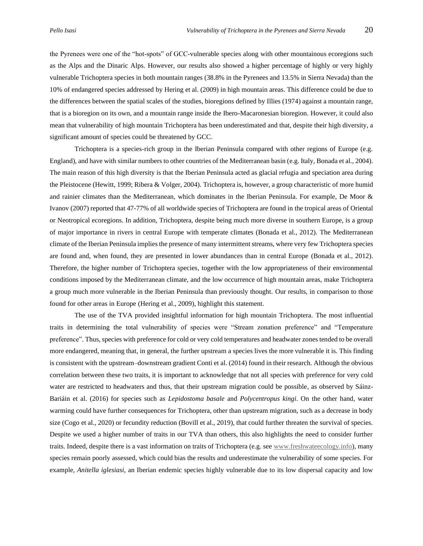the Pyrenees were one of the "hot-spots" of GCC-vulnerable species along with other mountainous ecoregions such

as the Alps and the Dinaric Alps. However, our results also showed a higher percentage of highly or very highly vulnerable Trichoptera species in both mountain ranges (38.8% in the Pyrenees and 13.5% in Sierra Nevada) than the 10% of endangered species addressed by Hering et al. (2009) in high mountain areas. This difference could be due to the differences between the spatial scales of the studies, bioregions defined by Illies (1974) against a mountain range, that is a bioregion on its own, and a mountain range inside the Ibero-Macaronesian bioregion. However, it could also mean that vulnerability of high mountain Trichoptera has been underestimated and that, despite their high diversity, a significant amount of species could be threatened by GCC.

Trichoptera is a species-rich group in the Iberian Peninsula compared with other regions of Europe (e.g. England), and have with similar numbers to other countries of the Mediterranean basin (e.g. Italy, Bonada et al., 2004). The main reason of this high diversity is that the Iberian Peninsula acted as glacial refugia and speciation area during the Pleistocene (Hewitt, 1999; Ribera & Volger, 2004). Trichoptera is, however, a group characteristic of more humid and rainier climates than the Mediterranean, which dominates in the Iberian Peninsula. For example, De Moor & Ivanov (2007) reported that 47-77% of all worldwide species of Trichoptera are found in the tropical areas of Oriental or Neotropical ecoregions. In addition, Trichoptera, despite being much more diverse in southern Europe, is a group of major importance in rivers in central Europe with temperate climates (Bonada et al., 2012). The Mediterranean climate of the Iberian Peninsula implies the presence of many intermittent streams, where very few Trichoptera species are found and, when found, they are presented in lower abundances than in central Europe (Bonada et al., 2012). Therefore, the higher number of Trichoptera species, together with the low appropriateness of their environmental conditions imposed by the Mediterranean climate, and the low occurrence of high mountain areas, make Trichoptera a group much more vulnerable in the Iberian Peninsula than previously thought. Our results, in comparison to those found for other areas in Europe (Hering et al., 2009), highlight this statement.

The use of the TVA provided insightful information for high mountain Trichoptera. The most influential traits in determining the total vulnerability of species were "Stream zonation preference" and "Temperature preference". Thus, species with preference for cold or very cold temperatures and headwater zones tended to be overall more endangered, meaning that, in general, the further upstream a species lives the more vulnerable it is. This finding is consistent with the upstream–downstream gradient Conti et al. (2014) found in their research. Although the obvious correlation between these two traits, it is important to acknowledge that not all species with preference for very cold water are restricted to headwaters and thus, that their upstream migration could be possible, as observed by Sáinz-Bariáin et al. (2016) for species such as *Lepidostoma basale* and *Polycentropus kingi*. On the other hand, water warming could have further consequences for Trichoptera, other than upstream migration, such as a decrease in body size (Cogo et al., 2020) or fecundity reduction (Bovill et al., 2019), that could further threaten the survival of species. Despite we used a higher number of traits in our TVA than others, this also highlights the need to consider further traits. Indeed, despite there is a vast information on traits of Trichoptera (e.g. see [www.freshwateecology.info\)](http://www.freshwateecology.info/), many species remain poorly assessed, which could bias the results and underestimate the vulnerability of some species. For example, *Anitella iglesiasi*, an Iberian endemic species highly vulnerable due to its low dispersal capacity and low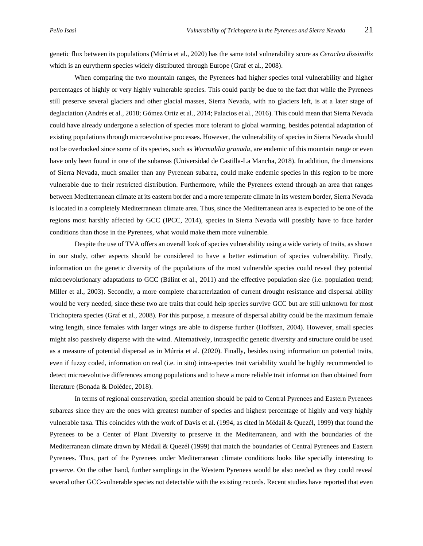genetic flux between its populations (Múrria et al., 2020) has the same total vulnerability score as *Ceraclea dissimilis*  which is an eurytherm species widely distributed through Europe (Graf et al., 2008).

When comparing the two mountain ranges, the Pyrenees had higher species total vulnerability and higher percentages of highly or very highly vulnerable species. This could partly be due to the fact that while the Pyrenees still preserve several glaciers and other glacial masses, Sierra Nevada, with no glaciers left, is at a later stage of deglaciation (Andrés et al., 2018; Gómez Ortiz et al., 2014; Palacios et al., 2016). This could mean that Sierra Nevada could have already undergone a selection of species more tolerant to global warming, besides potential adaptation of existing populations through microevolutive processes. However, the vulnerability of species in Sierra Nevada should not be overlooked since some of its species, such as *Wormaldia granada*, are endemic of this mountain range or even have only been found in one of the subareas (Universidad de Castilla-La Mancha, 2018). In addition, the dimensions of Sierra Nevada, much smaller than any Pyrenean subarea, could make endemic species in this region to be more vulnerable due to their restricted distribution. Furthermore, while the Pyrenees extend through an area that ranges between Mediterranean climate at its eastern border and a more temperate climate in its western border, Sierra Nevada is located in a completely Mediterranean climate area. Thus, since the Mediterranean area is expected to be one of the regions most harshly affected by GCC (IPCC, 2014), species in Sierra Nevada will possibly have to face harder conditions than those in the Pyrenees, what would make them more vulnerable.

Despite the use of TVA offers an overall look of species vulnerability using a wide variety of traits, as shown in our study, other aspects should be considered to have a better estimation of species vulnerability. Firstly, information on the genetic diversity of the populations of the most vulnerable species could reveal they potential microevolutionary adaptations to GCC (Bálint et al., 2011) and the effective population size (i.e. population trend; Miller et al., 2003). Secondly, a more complete characterization of current drought resistance and dispersal ability would be very needed, since these two are traits that could help species survive GCC but are still unknown for most Trichoptera species (Graf et al., 2008). For this purpose, a measure of dispersal ability could be the maximum female wing length, since females with larger wings are able to disperse further (Hoffsten, 2004). However, small species might also passively disperse with the wind. Alternatively, intraspecific genetic diversity and structure could be used as a measure of potential dispersal as in Múrria et al. (2020). Finally, besides using information on potential traits, even if fuzzy coded, information on real (i.e. in situ) intra-species trait variability would be highly recommended to detect microevolutive differences among populations and to have a more reliable trait information than obtained from literature (Bonada & Dolédec, 2018).

In terms of regional conservation, special attention should be paid to Central Pyrenees and Eastern Pyrenees subareas since they are the ones with greatest number of species and highest percentage of highly and very highly vulnerable taxa. This coincides with the work of Davis et al. (1994, as cited in Médail & Quezél, 1999) that found the Pyrenees to be a Center of Plant Diversity to preserve in the Mediterranean, and with the boundaries of the Mediterranean climate drawn by Médail & Quezél (1999) that match the boundaries of Central Pyrenees and Eastern Pyrenees. Thus, part of the Pyrenees under Mediterranean climate conditions looks like specially interesting to preserve. On the other hand, further samplings in the Western Pyrenees would be also needed as they could reveal several other GCC-vulnerable species not detectable with the existing records. Recent studies have reported that even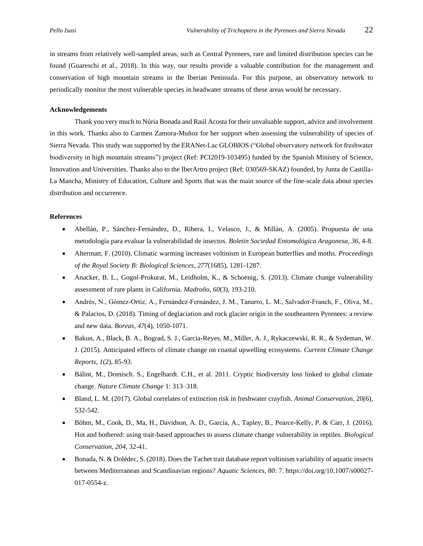in streams from relatively well-sampled areas, such as Central Pyrenees, rare and limited distribution species can be found (Guareschi et al., 2018). In this way, our results provide a valuable contribution for the management and conservation of high mountain streams in the Iberian Peninsula. For this purpose, an observatory network to periodically monitor the most vulnerable species in headwater streams of these areas would be necessary.

# **Acknowledgements**

Thank you very much to Núria Bonada and Raúl Acosta for their unvaluable support, advice and involvement in this work. Thanks also to Carmen Zamora-Muñoz for her support when assessing the vulnerability of species of Sierra Nevada. This study was supported by the ERANet-Lac GLOBIOS ("Global observatory network for freshwater biodiversity in high mountain streams") project (Ref: PCI2019-103495) funded by the Spanish Ministry of Science, Innovation and Universities. Thanks also to the IberArtro project (Ref: 030569-SKAZ) founded, by Junta de Castilla-La Mancha, Ministry of Education, Culture and Sports that was the main source of the fine-scale data about species distribution and occurrence.

# **References**

- Abellán, P., Sánchez-Fernández, D., Ribera, I., Velasco, J., & Millán, A. (2005). Propuesta de una metodología para evaluar la vulnerabilidad de insectos. *Boletín Sociedad Entomológica Aragonesa*, *36*, 4-8.
- Altermatt, F. (2010). Climatic warming increases voltinism in European butterflies and moths. *Proceedings of the Royal Society B: Biological Sciences*, *277*(1685), 1281-1287.
- Anacker, B. L., Gogol-Prokurat, M., Leidholm, K., & Schoenig, S. (2013). Climate change vulnerability assessment of rare plants in California. *Madroño*, *60*(3), 193-210.
- Andrés, N., Gómez‐Ortiz, A., Fernández‐Fernández, J. M., Tanarro, L. M., Salvador‐Franch, F., Oliva, M., & Palacios, D. (2018). Timing of deglaciation and rock glacier origin in the southeastern Pyrenees: a review and new data. *Boreas*, *47*(4), 1050-1071.
- Bakun, A., Black, B. A., Bograd, S. J., Garcia-Reyes, M., Miller, A. J., Rykaczewski, R. R., & Sydeman, W. J. (2015). Anticipated effects of climate change on coastal upwelling ecosystems. *Current Climate Change Reports*, *1*(2), 85-93.
- Bálint, M., Domisch. S., Engelhardt. C.H., et al. 2011. Cryptic biodiversity loss linked to global climate change. *Nature Climate Change* 1: 313–318.
- Bland, L. M. (2017). Global correlates of extinction risk in freshwater crayfish. *Animal Conservation*, 20(6), 532-542.
- Böhm, M., Cook, D., Ma, H., Davidson, A. D., García, A., Tapley, B., Pearce-Kelly, P. & Carr, J. (2016). Hot and bothered: using trait-based approaches to assess climate change vulnerability in reptiles. *Biological Conservation*, *204*, 32-41.
- Bonada, N. & Dolédec, S. (2018). Does the Tachet trait database report voltinism variability of aquatic insects between Mediterranean and Scandinavian regions? *Aquatic Sciences*, 80: 7. https://doi.org/10.1007/s00027- 017-0554-z.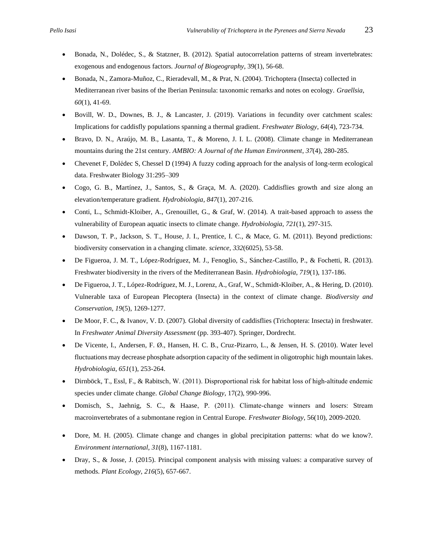- Bonada, N., Dolédec, S., & Statzner, B. (2012). Spatial autocorrelation patterns of stream invertebrates: exogenous and endogenous factors. *Journal of Biogeography*, 39(1), 56-68.
- Bonada, N., Zamora-Muñoz, C., Rieradevall, M., & Prat, N. (2004). Trichoptera (Insecta) collected in Mediterranean river basins of the Iberian Peninsula: taxonomic remarks and notes on ecology. *Graellsia*, *60*(1), 41-69.
- Bovill, W. D., Downes, B. J., & Lancaster, J. (2019). Variations in fecundity over catchment scales: Implications for caddisfly populations spanning a thermal gradient. *Freshwater Biology*, *64*(4), 723-734.
- Bravo, D. N., Araújo, M. B., Lasanta, T., & Moreno, J. I. L. (2008). Climate change in Mediterranean mountains during the 21st century. *AMBIO: A Journal of the Human Environment*, *37*(4), 280-285.
- Chevenet F, Dolédec S, Chessel D (1994) A fuzzy coding approach for the analysis of long-term ecological data. Freshwater Biology 31:295–309
- Cogo, G. B., Martínez, J., Santos, S., & Graça, M. A. (2020). Caddisflies growth and size along an elevation/temperature gradient. *Hydrobiologia*, *847*(1), 207-216.
- Conti, L., Schmidt-Kloiber, A., Grenouillet, G., & Graf, W. (2014). A trait-based approach to assess the vulnerability of European aquatic insects to climate change. *Hydrobiologia*, *721*(1), 297-315.
- Dawson, T. P., Jackson, S. T., House, J. I., Prentice, I. C., & Mace, G. M. (2011). Beyond predictions: biodiversity conservation in a changing climate. *science*, *332*(6025), 53-58.
- De Figueroa, J. M. T., López-Rodríguez, M. J., Fenoglio, S., Sánchez-Castillo, P., & Fochetti, R. (2013). Freshwater biodiversity in the rivers of the Mediterranean Basin. *Hydrobiologia*, *719*(1), 137-186.
- De Figueroa, J. T., López-Rodríguez, M. J., Lorenz, A., Graf, W., Schmidt-Kloiber, A., & Hering, D. (2010). Vulnerable taxa of European Plecoptera (Insecta) in the context of climate change. *Biodiversity and Conservation*, *19*(5), 1269-1277.
- De Moor, F. C., & Ivanov, V. D. (2007). Global diversity of caddisflies (Trichoptera: Insecta) in freshwater. In *Freshwater Animal Diversity Assessment* (pp. 393-407). Springer, Dordrecht.
- De Vicente, I., Andersen, F. Ø., Hansen, H. C. B., Cruz-Pizarro, L., & Jensen, H. S. (2010). Water level fluctuations may decrease phosphate adsorption capacity of the sediment in oligotrophic high mountain lakes. *Hydrobiologia*, *651*(1), 253-264.
- Dirnböck, T., Essl, F., & Rabitsch, W. (2011). Disproportional risk for habitat loss of high‐altitude endemic species under climate change. *Global Change Biology*, 17(2), 990-996.
- Domisch, S., Jaehnig, S. C., & Haase, P. (2011). Climate‐change winners and losers: Stream macroinvertebrates of a submontane region in Central Europe. *Freshwater Biology*, 56(10), 2009-2020.
- Dore, M. H. (2005). Climate change and changes in global precipitation patterns: what do we know?. *Environment international*, *31*(8), 1167-1181.
- Dray, S., & Josse, J. (2015). Principal component analysis with missing values: a comparative survey of methods. *Plant Ecology*, *216*(5), 657-667.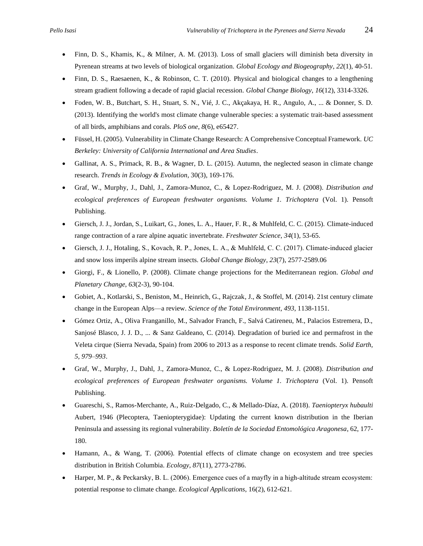- Finn, D. S., Khamis, K., & Milner, A. M. (2013). Loss of small glaciers will diminish beta diversity in Pyrenean streams at two levels of biological organization. *Global Ecology and Biogeography*, *22*(1), 40-51.
- Finn, D. S., Raesaenen, K., & Robinson, C. T. (2010). Physical and biological changes to a lengthening stream gradient following a decade of rapid glacial recession. *Global Change Biology*, *16*(12), 3314-3326.
- Foden, W. B., Butchart, S. H., Stuart, S. N., Vié, J. C., Akçakaya, H. R., Angulo, A., ... & Donner, S. D. (2013). Identifying the world's most climate change vulnerable species: a systematic trait-based assessment of all birds, amphibians and corals. *PloS one*, *8*(6), e65427.
- Füssel, H. (2005). Vulnerability in Climate Change Research: A Comprehensive Conceptual Framework. *UC Berkeley: University of California International and Area Studies*.
- Gallinat, A. S., Primack, R. B., & Wagner, D. L. (2015). Autumn, the neglected season in climate change research. *Trends in Ecology & Evolution*, 30(3), 169-176.
- Graf, W., Murphy, J., Dahl, J., Zamora-Munoz, C., & Lopez-Rodriguez, M. J. (2008). *Distribution and ecological preferences of European freshwater organisms. Volume 1. Trichoptera* (Vol. 1). Pensoft Publishing.
- Giersch, J. J., Jordan, S., Luikart, G., Jones, L. A., Hauer, F. R., & Muhlfeld, C. C. (2015). Climate-induced range contraction of a rare alpine aquatic invertebrate. *Freshwater Science*, *34*(1), 53-65.
- Giersch, J. J., Hotaling, S., Kovach, R. P., Jones, L. A., & Muhlfeld, C. C. (2017). Climate‐induced glacier and snow loss imperils alpine stream insects. *Global Change Biology*, *23*(7), 2577-2589.06
- Giorgi, F., & Lionello, P. (2008). Climate change projections for the Mediterranean region. *Global and Planetary Change*, *63*(2-3), 90-104.
- Gobiet, A., Kotlarski, S., Beniston, M., Heinrich, G., Rajczak, J., & Stoffel, M. (2014). 21st century climate change in the European Alps—a review. *Science of the Total Environment*, *493*, 1138-1151.
- Gómez Ortiz, A., Oliva Franganillo, M., Salvador Franch, F., Salvá Catireneu, M., Palacios Estremera, D., Sanjosé Blasco, J. J. D., ... & Sanz Galdeano, C. (2014). Degradation of buried ice and permafrost in the Veleta cirque (Sierra Nevada, Spain) from 2006 to 2013 as a response to recent climate trends. *Solid Earth, 5, 979–993*.
- Graf, W., Murphy, J., Dahl, J., Zamora-Munoz, C., & Lopez-Rodriguez, M. J. (2008). *Distribution and ecological preferences of European freshwater organisms. Volume 1. Trichoptera* (Vol. 1). Pensoft Publishing.
- Guareschi, S., Ramos-Merchante, A., Ruiz-Delgado, C., & Mellado-Díaz, A. (2018). *Taeniopteryx hubaulti* Aubert, 1946 (Plecoptera, Taeniopterygidae): Updating the current known distribution in the Iberian Peninsula and assessing its regional vulnerability. *Boletín de la Sociedad Entomológica Aragonesa*, 62, 177- 180.
- Hamann, A., & Wang, T. (2006). Potential effects of climate change on ecosystem and tree species distribution in British Columbia. *Ecology*, *87*(11), 2773-2786.
- Harper, M. P., & Peckarsky, B. L. (2006). Emergence cues of a mayfly in a high‐altitude stream ecosystem: potential response to climate change. *Ecological Applications*, 16(2), 612-621.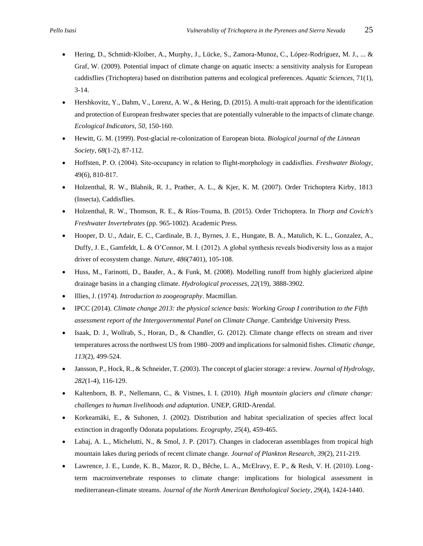- Hering, D., Schmidt-Kloiber, A., Murphy, J., Lücke, S., Zamora-Munoz, C., López-Rodríguez, M. J., ... & Graf, W. (2009). Potential impact of climate change on aquatic insects: a sensitivity analysis for European caddisflies (Trichoptera) based on distribution patterns and ecological preferences. *Aquatic Sciences*, 71(1), 3-14.
- Hershkovitz, Y., Dahm, V., Lorenz, A. W., & Hering, D. (2015). A multi-trait approach for the identification and protection of European freshwater species that are potentially vulnerable to the impacts of climate change. *Ecological Indicators*, *50*, 150-160.
- Hewitt, G. M. (1999). Post-glacial re-colonization of European biota. *Biological journal of the Linnean Society*, *68*(1-2), 87-112.
- Hoffsten, P. O. (2004). Site‐occupancy in relation to flight‐morphology in caddisflies. *Freshwater Biology*, 49(6), 810-817.
- Holzenthal, R. W., Blahnik, R. J., Prather, A. L., & Kjer, K. M. (2007). Order Trichoptera Kirby, 1813 (Insecta), Caddisflies.
- Holzenthal, R. W., Thomson, R. E., & Ríos-Touma, B. (2015). Order Trichoptera. In *Thorp and Covich's Freshwater Invertebrates* (pp. 965-1002). Academic Press.
- Hooper, D. U., Adair, E. C., Cardinale, B. J., Byrnes, J. E., Hungate, B. A., Matulich, K. L., Gonzalez, A., Duffy, J. E., Gamfeldt, L. & O'Connor, M. I. (2012). A global synthesis reveals biodiversity loss as a major driver of ecosystem change. *Nature*, *486*(7401), 105-108.
- Huss, M., Farinotti, D., Bauder, A., & Funk, M. (2008). Modelling runoff from highly glacierized alpine drainage basins in a changing climate. *Hydrological processes*, *22*(19), 3888-3902.
- Illies, J. (1974). *Introduction to zoogeography*. Macmillan.
- IPCC (2014). *Climate change 2013: the physical science basis: Working Group I contribution to the Fifth assessment report of the Intergovernmental Panel on Climate Change*. Cambridge University Press.
- Isaak, D. J., Wollrab, S., Horan, D., & Chandler, G. (2012). Climate change effects on stream and river temperatures across the northwest US from 1980–2009 and implications for salmonid fishes. *Climatic change*, *113*(2), 499-524.
- Jansson, P., Hock, R., & Schneider, T. (2003). The concept of glacier storage: a review. *Journal of Hydrology*, *282*(1-4), 116-129.
- Kaltenborn, B. P., Nellemann, C., & Vistnes, I. I. (2010). *High mountain glaciers and climate change: challenges to human livelihoods and adaptation*. UNEP, GRID-Arendal.
- Korkeamäki, E., & Suhonen, J. (2002). Distribution and habitat specialization of species affect local extinction in dragonfly Odonata populations. *Ecography*, *25*(4), 459-465.
- Labaj, A. L., Michelutti, N., & Smol, J. P. (2017). Changes in cladoceran assemblages from tropical high mountain lakes during periods of recent climate change. *Journal of Plankton Research*, *39*(2), 211-219.
- Lawrence, J. E., Lunde, K. B., Mazor, R. D., Bêche, L. A., McElravy, E. P., & Resh, V. H. (2010). Longterm macroinvertebrate responses to climate change: implications for biological assessment in mediterranean-climate streams. *Journal of the North American Benthological Society*, *29*(4), 1424-1440.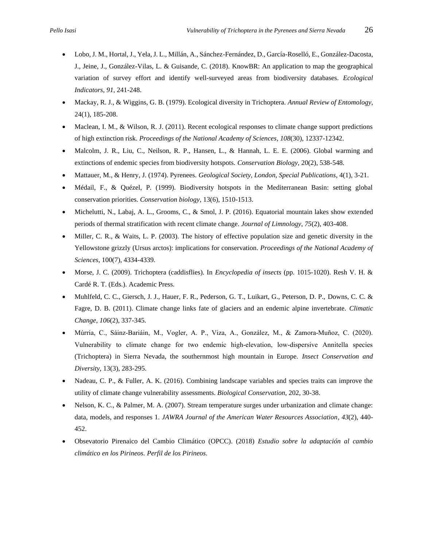- Lobo, J. M., Hortal, J., Yela, J. L., Millán, A., Sánchez-Fernández, D., García-Roselló, E., González-Dacosta, J., Jeine, J., González-Vilas, L. & Guisande, C. (2018). KnowBR: An application to map the geographical variation of survey effort and identify well-surveyed areas from biodiversity databases. *Ecological Indicators*, *91*, 241-248.
- Mackay, R. J., & Wiggins, G. B. (1979). Ecological diversity in Trichoptera. *Annual Review of Entomology*, 24(1), 185-208.
- Maclean, I. M., & Wilson, R. J. (2011). Recent ecological responses to climate change support predictions of high extinction risk. *Proceedings of the National Academy of Sciences*, *108*(30), 12337-12342.
- Malcolm, J. R., Liu, C., Neilson, R. P., Hansen, L., & Hannah, L. E. E. (2006). Global warming and extinctions of endemic species from biodiversity hotspots. *Conservation Biology,* 20(2), 538-548.
- Mattauer, M., & Henry, J. (1974). Pyrenees. *Geological Society, London, Special Publications*, 4(1), 3-21.
- Médail, F., & Quézel, P. (1999). Biodiversity hotspots in the Mediterranean Basin: setting global conservation priorities. *Conservation biology*, 13(6), 1510-1513.
- Michelutti, N., Labaj, A. L., Grooms, C., & Smol, J. P. (2016). Equatorial mountain lakes show extended periods of thermal stratification with recent climate change. *Journal of Limnology*, *75*(2), 403-408.
- Miller, C. R., & Waits, L. P. (2003). The history of effective population size and genetic diversity in the Yellowstone grizzly (Ursus arctos): implications for conservation. *Proceedings of the National Academy of Sciences*, 100(7), 4334-4339.
- Morse, J. C. (2009). Trichoptera (caddisflies). In *Encyclopedia of insects* (pp. 1015-1020). Resh V. H. & Cardé R. T. (Eds.). Academic Press.
- Muhlfeld, C. C., Giersch, J. J., Hauer, F. R., Pederson, G. T., Luikart, G., Peterson, D. P., Downs, C. C. & Fagre, D. B. (2011). Climate change links fate of glaciers and an endemic alpine invertebrate. *Climatic Change*, *106*(2), 337-345.
- Múrria, C., Sáinz‐Bariáin, M., Vogler, A. P., Viza, A., González, M., & Zamora‐Muñoz, C. (2020). Vulnerability to climate change for two endemic high‐elevation, low‐dispersive Annitella species (Trichoptera) in Sierra Nevada, the southernmost high mountain in Europe. *Insect Conservation and Diversity*, 13(3), 283-295.
- Nadeau, C. P., & Fuller, A. K. (2016). Combining landscape variables and species traits can improve the utility of climate change vulnerability assessments. *Biological Conservation*, 202, 30-38.
- Nelson, K. C., & Palmer, M. A. (2007). Stream temperature surges under urbanization and climate change: data, models, and responses 1. *JAWRA Journal of the American Water Resources Association*, *43*(2), 440- 452.
- Obsevatorio Pirenaico del Cambio Climático (OPCC). (2018) *Estudio sobre la adaptación al cambio climático en los Pirineos. Perfil de los Pirineos*.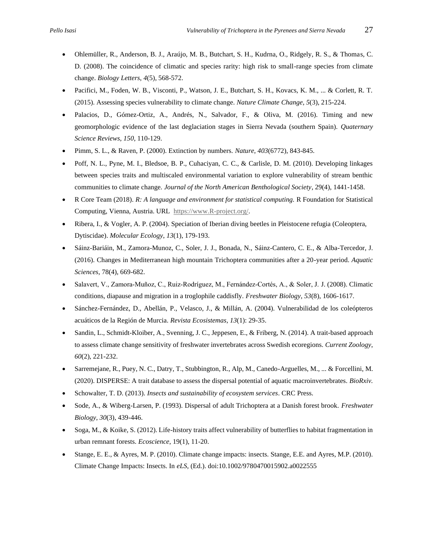- Ohlemüller, R., Anderson, B. J., Araújo, M. B., Butchart, S. H., Kudrna, O., Ridgely, R. S., & Thomas, C. D. (2008). The coincidence of climatic and species rarity: high risk to small-range species from climate change. *Biology Letters*, *4*(5), 568-572.
- Pacifici, M., Foden, W. B., Visconti, P., Watson, J. E., Butchart, S. H., Kovacs, K. M., ... & Corlett, R. T. (2015). Assessing species vulnerability to climate change. *Nature Climate Change*, *5*(3), 215-224.
- Palacios, D., Gómez-Ortiz, A., Andrés, N., Salvador, F., & Oliva, M. (2016). Timing and new geomorphologic evidence of the last deglaciation stages in Sierra Nevada (southern Spain). *Quaternary Science Reviews*, *150*, 110-129.
- Pimm, S. L., & Raven, P. (2000). Extinction by numbers. *Nature*, *403*(6772), 843-845.
- Poff, N. L., Pyne, M. I., Bledsoe, B. P., Cuhaciyan, C. C., & Carlisle, D. M. (2010). Developing linkages between species traits and multiscaled environmental variation to explore vulnerability of stream benthic communities to climate change. *Journal of the North American Benthological Society*, 29(4), 1441-1458.
- R Core Team (2018). *R: A language and environment for statistical computing.* R Foundation for Statistical Computing, Vienna, Austria. URL [https://www.R-project.org/.](https://www.r-project.org/)
- Ribera, I., & Vogler, A. P. (2004). Speciation of Iberian diving beetles in Pleistocene refugia (Coleoptera, Dytiscidae). *Molecular Ecology*, *13*(1), 179-193.
- Sáinz-Bariáin, M., Zamora-Munoz, C., Soler, J. J., Bonada, N., Sáinz-Cantero, C. E., & Alba-Tercedor, J. (2016). Changes in Mediterranean high mountain Trichoptera communities after a 20-year period. *Aquatic Sciences*, 78(4), 669-682.
- Salavert, V., Zamora‐Muñoz, C., Ruiz‐Rodríguez, M., Fernández‐Cortés, A., & Soler, J. J. (2008). Climatic conditions, diapause and migration in a troglophile caddisfly. *Freshwater Biology*, *53*(8), 1606-1617.
- Sánchez-Fernández, D., Abellán, P., Velasco, J., & Millán, A. (2004). Vulnerabilidad de los coleópteros acuáticos de la Región de Murcia. *Revista Ecosistemas*, *13*(1): 29-35.
- Sandin, L., Schmidt-Kloiber, A., Svenning, J. C., Jeppesen, E., & Friberg, N. (2014). A trait-based approach to assess climate change sensitivity of freshwater invertebrates across Swedish ecoregions. *Current Zoology*, *60*(2), 221-232.
- Sarremejane, R., Puey, N. C., Datry, T., Stubbington, R., Alp, M., Canedo-Arguelles, M., ... & Forcellini, M. (2020). DISPERSE: A trait database to assess the dispersal potential of aquatic macroinvertebrates. *BioRxiv.*
- Schowalter, T. D. (2013). *Insects and sustainability of ecosystem services*. CRC Press.
- Sode, A., & Wiberg-Larsen, P. (1993). Dispersal of adult Trichoptera at a Danish forest brook. *Freshwater Biology*, *30*(3), 439-446.
- Soga, M., & Koike, S. (2012). Life-history traits affect vulnerability of butterflies to habitat fragmentation in urban remnant forests. *Ecoscience*, 19(1), 11-20.
- Stange, E. E., & Ayres, M. P. (2010). Climate change impacts: insects. Stange, E.E. and Ayres, M.P. (2010). Climate Change Impacts: Insects. In *eLS*, (Ed.). doi:10.1002/9780470015902.a0022555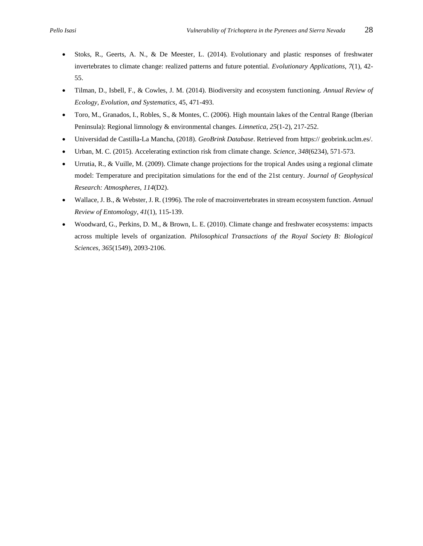- Stoks, R., Geerts, A. N., & De Meester, L. (2014). Evolutionary and plastic responses of freshwater invertebrates to climate change: realized patterns and future potential. *Evolutionary Applications*, *7*(1), 42- 55.
- Tilman, D., Isbell, F., & Cowles, J. M. (2014). Biodiversity and ecosystem functioning. *Annual Review of Ecology, Evolution, and Systematics*, 45, 471-493.
- Toro, M., Granados, I., Robles, S., & Montes, C. (2006). High mountain lakes of the Central Range (Iberian Peninsula): Regional limnology & environmental changes. *Limnetica*, *25*(1-2), 217-252.
- Universidad de Castilla-La Mancha, (2018). *GeoBrink Database*. Retrieved from https:// geobrink.uclm.es/.
- Urban, M. C. (2015). Accelerating extinction risk from climate change. *Science*, *348*(6234), 571-573.
- Urrutia, R., & Vuille, M. (2009). Climate change projections for the tropical Andes using a regional climate model: Temperature and precipitation simulations for the end of the 21st century. *Journal of Geophysical Research: Atmospheres*, *114*(D2).
- Wallace, J. B., & Webster, J. R. (1996). The role of macroinvertebrates in stream ecosystem function. *Annual Review of Entomology*, *41*(1), 115-139.
- Woodward, G., Perkins, D. M., & Brown, L. E. (2010). Climate change and freshwater ecosystems: impacts across multiple levels of organization. *Philosophical Transactions of the Royal Society B: Biological Sciences*, *365*(1549), 2093-2106.